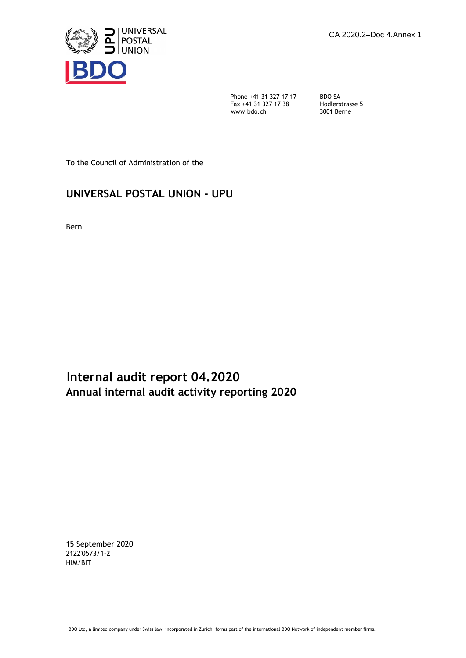

Phone +41 31 327 17 17 BDO SA<br>Fax +41 31 327 17 38 Hodlerstrasse 5 Figure  $\frac{1}{2}$  31 327 17 38<br>Www.bdo.ch

3001 Berne

To the Council of Administration of the

# **UNIVERSAL POSTAL UNION - UPU**

Bern

**Internal audit report 04.2020 Annual internal audit activity reporting 2020** 

15 September 2020 2122'0573/1-2 HIM/BIT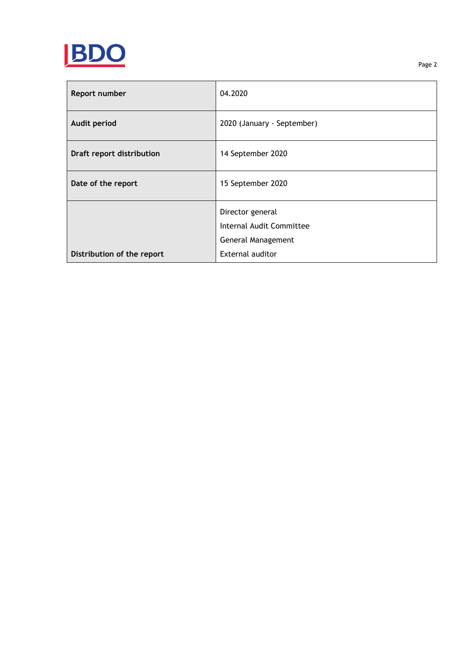

| Report number              | 04.2020                    |
|----------------------------|----------------------------|
| <b>Audit period</b>        | 2020 (January - September) |
| Draft report distribution  | 14 September 2020          |
| Date of the report         | 15 September 2020          |
|                            | Director general           |
|                            | Internal Audit Committee   |
|                            | General Management         |
| Distribution of the report | External auditor           |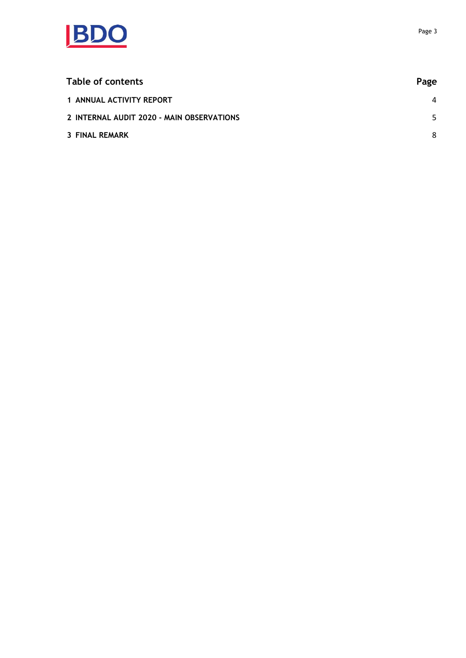

| Table of contents                         | Page           |
|-------------------------------------------|----------------|
| 1 ANNUAL ACTIVITY REPORT                  | $\overline{4}$ |
| 2 INTERNAL AUDIT 2020 - MAIN OBSERVATIONS | 5.             |
| <b>3 FINAL REMARK</b>                     | 8              |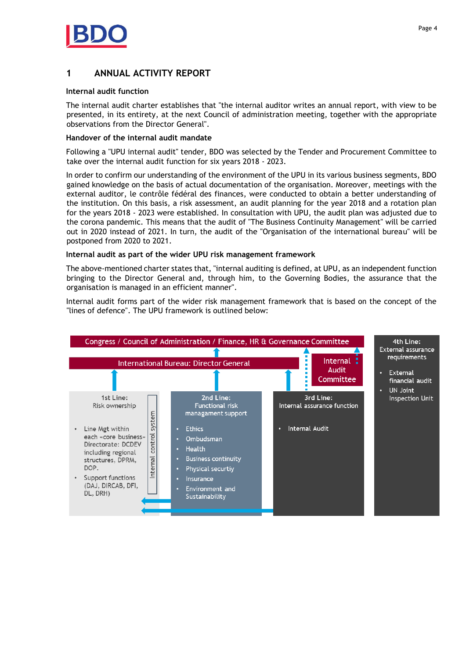

# <span id="page-3-0"></span>**1 ANNUAL ACTIVITY REPORT**

### **Internal audit function**

The internal audit charter establishes that "the internal auditor writes an annual report, with view to be presented, in its entirety, at the next Council of administration meeting, together with the appropriate observations from the Director General".

#### **Handover of the internal audit mandate**

Following a "UPU internal audit" tender, BDO was selected by the Tender and Procurement Committee to take over the internal audit function for six years 2018 - 2023.

In order to confirm our understanding of the environment of the UPU in its various business segments, BDO gained knowledge on the basis of actual documentation of the organisation. Moreover, meetings with the external auditor, le contrôle fédéral des finances, were conducted to obtain a better understanding of the institution. On this basis, a risk assessment, an audit planning for the year 2018 and a rotation plan for the years 2018 - 2023 were established. In consultation with UPU, the audit plan was adjusted due to the corona pandemic. This means that the audit of "The Business Continuity Management" will be carried out in 2020 instead of 2021. In turn, the audit of the "Organisation of the international bureau" will be postponed from 2020 to 2021.

#### **Internal audit as part of the wider UPU risk management framework**

The above-mentioned charter states that, "internal auditing is defined, at UPU, as an independent function bringing to the Director General and, through him, to the Governing Bodies, the assurance that the organisation is managed in an efficient manner".

Internal audit forms part of the wider risk management framework that is based on the concept of the "lines of defence". The UPU framework is outlined below:

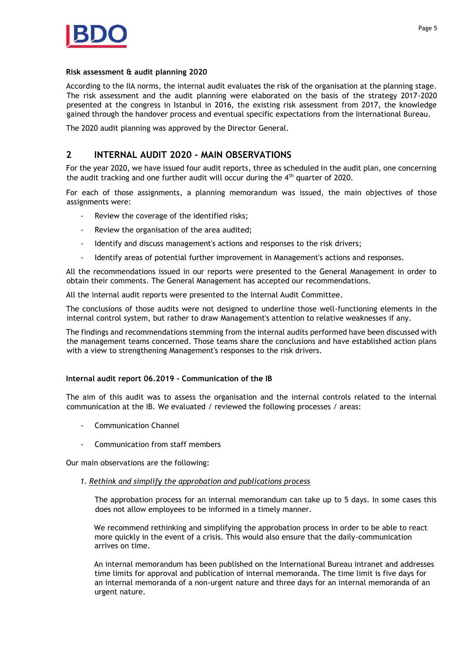

#### **Risk assessment & audit planning 2020**

According to the IIA norms, the internal audit evaluates the risk of the organisation at the planning stage. The risk assessment and the audit planning were elaborated on the basis of the strategy 2017-2020 presented at the congress in Istanbul in 2016, the existing risk assessment from 2017, the knowledge gained through the handover process and eventual specific expectations from the International Bureau.

The 2020 audit planning was approved by the Director General.

## <span id="page-4-0"></span>**2 INTERNAL AUDIT 2020 - MAIN OBSERVATIONS**

For the year 2020, we have issued four audit reports, three as scheduled in the audit plan, one concerning the audit tracking and one further audit will occur during the  $4<sup>th</sup>$  quarter of 2020.

For each of those assignments, a planning memorandum was issued, the main objectives of those assignments were:

- Review the coverage of the identified risks;
- Review the organisation of the area audited;
- Identify and discuss management's actions and responses to the risk drivers;
- Identify areas of potential further improvement in Management's actions and responses.

All the recommendations issued in our reports were presented to the General Management in order to obtain their comments. The General Management has accepted our recommendations.

All the internal audit reports were presented to the Internal Audit Committee.

The conclusions of those audits were not designed to underline those well-functioning elements in the internal control system, but rather to draw Management's attention to relative weaknesses if any.

The findings and recommendations stemming from the internal audits performed have been discussed with the management teams concerned. Those teams share the conclusions and have established action plans with a view to strengthening Management's responses to the risk drivers.

## **Internal audit report 06.2019 - Communication of the IB**

The aim of this audit was to assess the organisation and the internal controls related to the internal communication at the IB. We evaluated / reviewed the following processes / areas:

- Communication Channel
- Communication from staff members

Our main observations are the following:

#### *1. Rethink and simplify the approbation and publications process*

The approbation process for an internal memorandum can take up to 5 days. In some cases this does not allow employees to be informed in a timely manner.

We recommend rethinking and simplifying the approbation process in order to be able to react more quickly in the event of a crisis. This would also ensure that the daily-communication arrives on time.

An internal memorandum has been published on the International Bureau intranet and addresses time limits for approval and publication of internal memoranda. The time limit is five days for an internal memoranda of a non-urgent nature and three days for an internal memoranda of an urgent nature.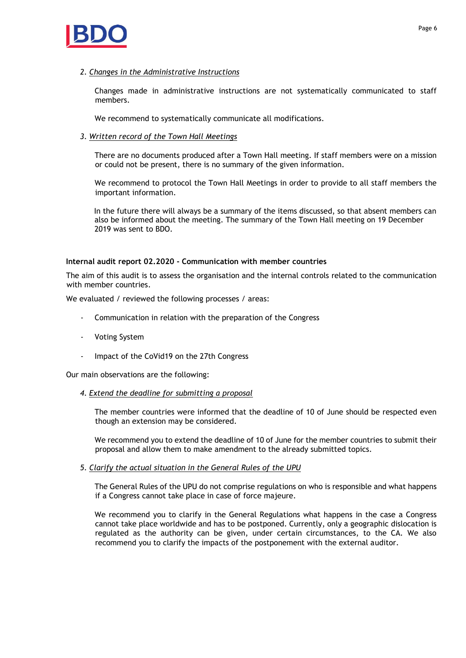

Changes made in administrative instructions are not systematically communicated to staff members.

We recommend to systematically communicate all modifications.

## *3. Written record of the Town Hall Meetings*

There are no documents produced after a Town Hall meeting. If staff members were on a mission or could not be present, there is no summary of the given information.

We recommend to protocol the Town Hall Meetings in order to provide to all staff members the important information.

In the future there will always be a summary of the items discussed, so that absent members can also be informed about the meeting. The summary of the Town Hall meeting on 19 December 2019 was sent to BDO.

## **Internal audit report 02.2020 - Communication with member countries**

The aim of this audit is to assess the organisation and the internal controls related to the communication with member countries.

We evaluated / reviewed the following processes / areas:

- Communication in relation with the preparation of the Congress
- Voting System
- Impact of the CoVid19 on the 27th Congress

Our main observations are the following:

## *4. Extend the deadline for submitting a proposal*

The member countries were informed that the deadline of 10 of June should be respected even though an extension may be considered.

We recommend you to extend the deadline of 10 of June for the member countries to submit their proposal and allow them to make amendment to the already submitted topics.

## *5. Clarify the actual situation in the General Rules of the UPU*

The General Rules of the UPU do not comprise regulations on who is responsible and what happens if a Congress cannot take place in case of force majeure.

We recommend you to clarify in the General Regulations what happens in the case a Congress cannot take place worldwide and has to be postponed. Currently, only a geographic dislocation is regulated as the authority can be given, under certain circumstances, to the CA. We also recommend you to clarify the impacts of the postponement with the external auditor.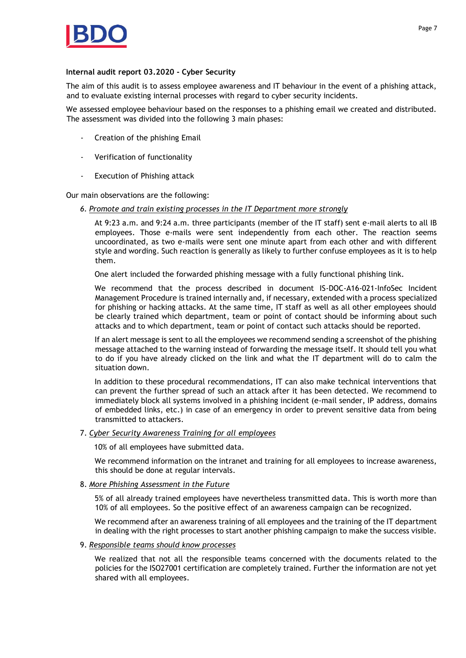

#### **Internal audit report 03.2020 - Cyber Security**

The aim of this audit is to assess employee awareness and IT behaviour in the event of a phishing attack, and to evaluate existing internal processes with regard to cyber security incidents.

We assessed employee behaviour based on the responses to a phishing email we created and distributed. The assessment was divided into the following 3 main phases:

- Creation of the phishing Email
- Verification of functionality
- Execution of Phishing attack

Our main observations are the following:

*6. Promote and train existing processes in the IT Department more strongly*

At 9:23 a.m. and 9:24 a.m. three participants (member of the IT staff) sent e-mail alerts to all IB employees. Those e-mails were sent independently from each other. The reaction seems uncoordinated, as two e-mails were sent one minute apart from each other and with different style and wording. Such reaction is generally as likely to further confuse employees as it is to help them.

One alert included the forwarded phishing message with a fully functional phishing link.

We recommend that the process described in document IS-DOC-A16-021-InfoSec Incident Management Procedure is trained internally and, if necessary, extended with a process specialized for phishing or hacking attacks. At the same time, IT staff as well as all other employees should be clearly trained which department, team or point of contact should be informing about such attacks and to which department, team or point of contact such attacks should be reported.

If an alert message is sent to all the employees we recommend sending a screenshot of the phishing message attached to the warning instead of forwarding the message itself. It should tell you what to do if you have already clicked on the link and what the IT department will do to calm the situation down.

In addition to these procedural recommendations, IT can also make technical interventions that can prevent the further spread of such an attack after it has been detected. We recommend to immediately block all systems involved in a phishing incident (e-mail sender, IP address, domains of embedded links, etc.) in case of an emergency in order to prevent sensitive data from being transmitted to attackers.

## 7. *Cyber Security Awareness Training for all employees*

10% of all employees have submitted data.

We recommend information on the intranet and training for all employees to increase awareness, this should be done at regular intervals.

## 8. *More Phishing Assessment in the Future*

5% of all already trained employees have nevertheless transmitted data. This is worth more than 10% of all employees. So the positive effect of an awareness campaign can be recognized.

We recommend after an awareness training of all employees and the training of the IT department in dealing with the right processes to start another phishing campaign to make the success visible.

#### 9. *Responsible teams should know processes*

We realized that not all the responsible teams concerned with the documents related to the policies for the ISO27001 certification are completely trained. Further the information are not yet shared with all employees.